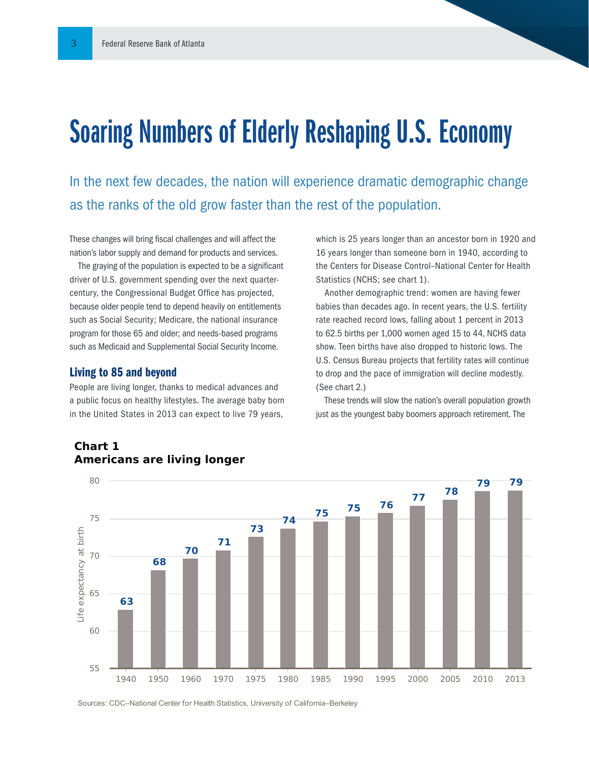## Soaring Numbers of Elderly Reshaping U.S. Economy

In the next few decades, the nation will experience dramatic demographic change as the ranks of the old grow faster than the rest of the population.

These changes will bring fiscal challenges and will affect the nation's labor supply and demand for products and services.

The graying of the population is expected to be a significant driver of U.S. government spending over the next quartercentury, the Congressional Budget Office has projected, because older people tend to depend heavily on entitlements such as Social Security; Medicare, the national insurance program for those 65 and older; and needs-based programs such as Medicaid and Supplemental Social Security Income.

#### Living to 85 and beyond

People are living longer, thanks to medical advances and a public focus on healthy lifestyles. The average baby born in the United States in 2013 can expect to live 79 years,

which is 25 years longer than an ancestor born in 1920 and 16 years longer than someone born in 1940, according to the Centers for Disease Control–National Center for Health Statistics (NCHS; see chart 1).

Another demographic trend: women are having fewer babies than decades ago. In recent years, the U.S. fertility rate reached record lows, falling about 1 percent in 2013 to 62.5 births per 1,000 women aged 15 to 44, NCHS data show. Teen births have also dropped to historic lows. The U.S. Census Bureau projects that fertility rates will continue to drop and the pace of immigration will decline modestly. (See chart 2.)

These trends will slow the nation's overall population growth just as the youngest baby boomers approach retirement. The



#### **Chart 1 Americans are living longer**

Sources: CDC–National Center for Health Statistics, University of California–Berkeley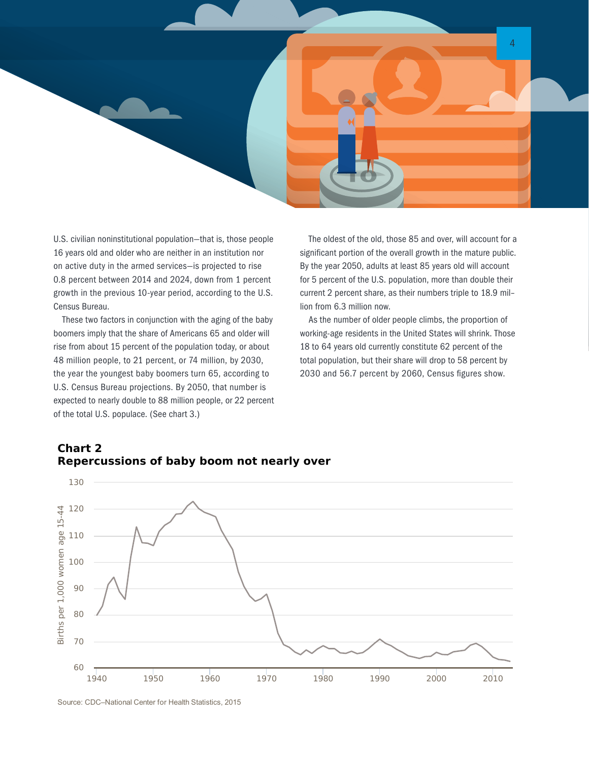

U.S. civilian noninstitutional population—that is, those people 16 years old and older who are neither in an institution nor on active duty in the armed services—is projected to rise 0.8 percent between 2014 and 2024, down from 1 percent growth in the previous 10-year period, according to the U.S. Census Bureau.

These two factors in conjunction with the aging of the baby boomers imply that the share of Americans 65 and older will rise from about 15 percent of the population today, or about 48 million people, to 21 percent, or 74 million, by 2030, the year the youngest baby boomers turn 65, according to U.S. Census Bureau projections. By 2050, that number is expected to nearly double to 88 million people, or 22 percent of the total U.S. populace. (See chart 3.)

The oldest of the old, those 85 and over, will account for a significant portion of the overall growth in the mature public. By the year 2050, adults at least 85 years old will account for 5 percent of the U.S. population, more than double their current 2 percent share, as their numbers triple to 18.9 mil– lion from 6.3 million now.

As the number of older people climbs, the proportion of working-age residents in the United States will shrink. Those 18 to 64 years old currently constitute 62 percent of the total population, but their share will drop to 58 percent by 2030 and 56.7 percent by 2060, Census figures show.



### **Repercussions of baby boom not nearly over**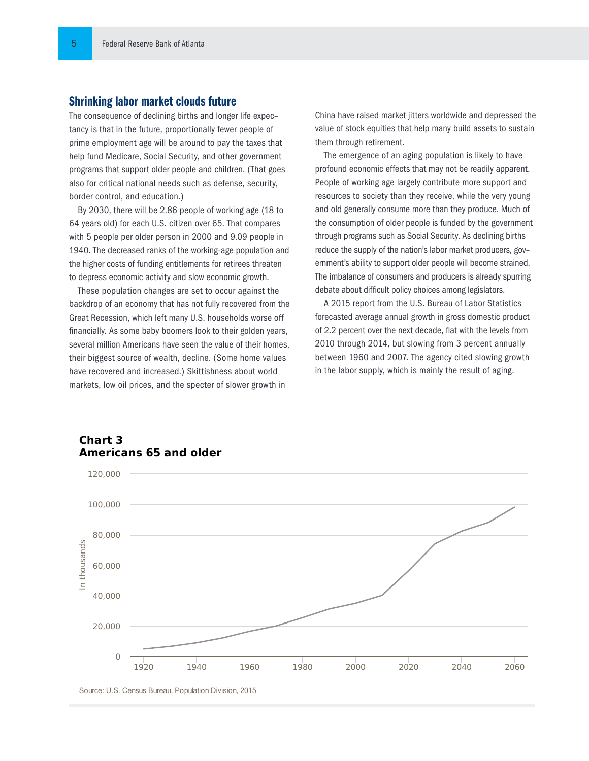#### Shrinking labor market clouds future

The consequence of declining births and longer life expec– tancy is that in the future, proportionally fewer people of prime employment age will be around to pay the taxes that help fund Medicare, Social Security, and other government programs that support older people and children. (That goes also for critical national needs such as defense, security, border control, and education.)

By 2030, there will be 2.86 people of working age (18 to 64 years old) for each U.S. citizen over 65. That compares with 5 people per older person in 2000 and 9.09 people in 1940. The decreased ranks of the working-age population and the higher costs of funding entitlements for retirees threaten to depress economic activity and slow economic growth.

These population changes are set to occur against the backdrop of an economy that has not fully recovered from the Great Recession, which left many U.S. households worse off financially. As some baby boomers look to their golden years, several million Americans have seen the value of their homes, their biggest source of wealth, decline. (Some home values have recovered and increased.) Skittishness about world markets, low oil prices, and the specter of slower growth in

China have raised market jitters worldwide and depressed the value of stock equities that help many build assets to sustain them through retirement.

The emergence of an aging population is likely to have profound economic effects that may not be readily apparent. People of working age largely contribute more support and resources to society than they receive, while the very young and old generally consume more than they produce. Much of the consumption of older people is funded by the government through programs such as Social Security. As declining births reduce the supply of the nation's labor market producers, gov– ernment's ability to support older people will become strained. The imbalance of consumers and producers is already spurring debate about difficult policy choices among legislators.

A 2015 report from the U.S. Bureau of Labor Statistics forecasted average annual growth in gross domestic product of 2.2 percent over the next decade, flat with the levels from 2010 through 2014, but slowing from 3 percent annually between 1960 and 2007. The agency cited slowing growth in the labor supply, which is mainly the result of aging.



### **Americans 65 and older**

Source: U.S. Census Bureau, Population Division, 2015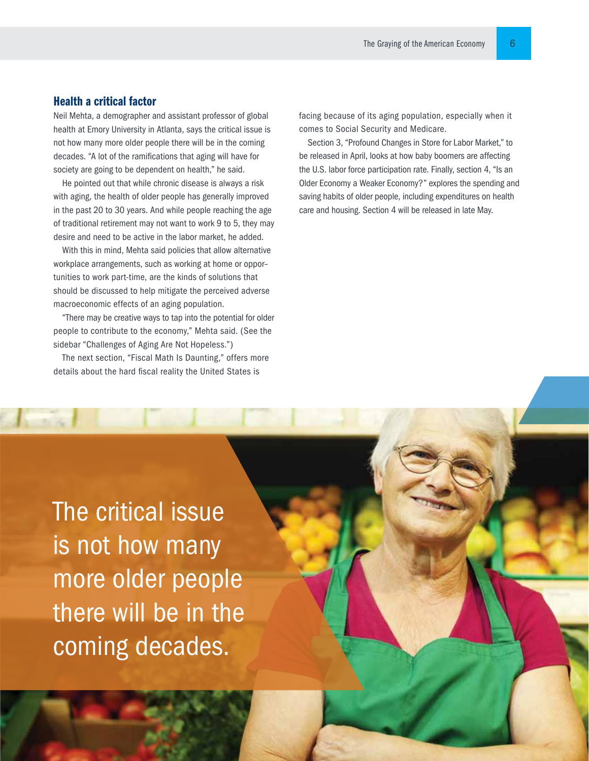#### Health a critical factor

Neil Mehta, a demographer and assistant professor of global health at Emory University in Atlanta, says the critical issue is not how many more older people there will be in the coming decades. "A lot of the ramifications that aging will have for society are going to be dependent on health," he said.

He pointed out that while chronic disease is always a risk with aging, the health of older people has generally improved in the past 20 to 30 years. And while people reaching the age of traditional retirement may not want to work 9 to 5, they may desire and need to be active in the labor market, he added.

With this in mind, Mehta said policies that allow alternative workplace arrangements, such as working at home or oppor– tunities to work part-time, are the kinds of solutions that should be discussed to help mitigate the perceived adverse macroeconomic effects of an aging population.

"There may be creative ways to tap into the potential for older people to contribute to the economy," Mehta said. (See the sidebar "Challenges of Aging Are Not Hopeless.")

The next section, "Fiscal Math Is Daunting," offers more details about the hard fiscal reality the United States is

facing because of its aging population, especially when it comes to Social Security and Medicare.

Section 3, "Profound Changes in Store for Labor Market," to be released in April, looks at how baby boomers are affecting the U.S. labor force participation rate. Finally, section 4, "Is an Older Economy a Weaker Economy?" explores the spending and saving habits of older people, including expenditures on health care and housing. Section 4 will be released in late May.

The critical issue is not how many more older people there will be in the coming decades.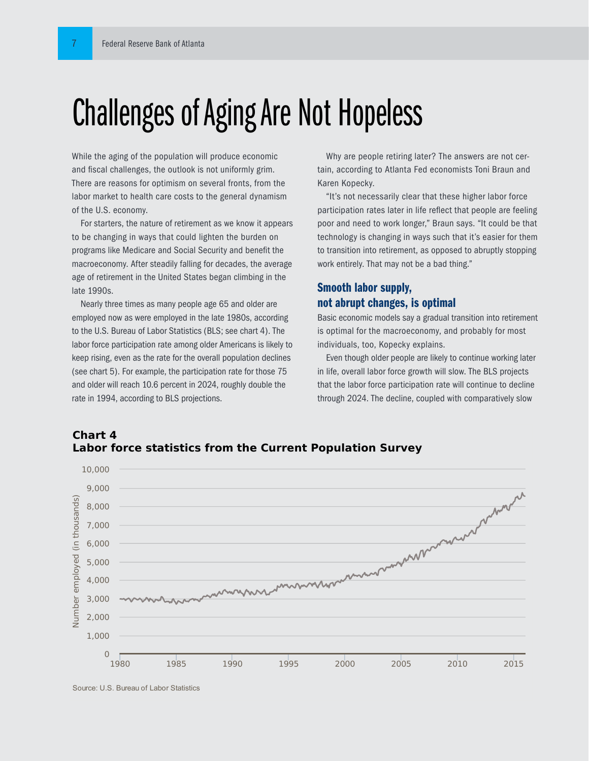# Challenges of Aging Are Not Hopeless

While the aging of the population will produce economic and fiscal challenges, the outlook is not uniformly grim. There are reasons for optimism on several fronts, from the labor market to health care costs to the general dynamism of the U.S. economy.

For starters, the nature of retirement as we know it appears to be changing in ways that could lighten the burden on programs like Medicare and Social Security and benefit the macroeconomy. After steadily falling for decades, the average age of retirement in the United States began climbing in the late 1990s.

Nearly three times as many people age 65 and older are employed now as were employed in the late 1980s, according to the U.S. Bureau of Labor Statistics (BLS; see chart 4). The labor force participation rate among older Americans is likely to keep rising, even as the rate for the overall population declines (see chart 5). For example, the participation rate for those 75 and older will reach 10.6 percent in 2024, roughly double the rate in 1994, according to BLS projections.

Why are people retiring later? The answers are not certain, according to Atlanta Fed economists Toni Braun and Karen Kopecky.

"It's not necessarily clear that these higher labor force participation rates later in life reflect that people are feeling poor and need to work longer," Braun says. "It could be that technology is changing in ways such that it's easier for them to transition into retirement, as opposed to abruptly stopping work entirely. That may not be a bad thing."

#### Smooth labor supply, not abrupt changes, is optimal

Basic economic models say a gradual transition into retirement is optimal for the macroeconomy, and probably for most individuals, too, Kopecky explains.

Even though older people are likely to continue working later in life, overall labor force growth will slow. The BLS projects that the labor force participation rate will continue to decline through 2024. The decline, coupled with comparatively slow





Source: U.S. Bureau of Labor Statistics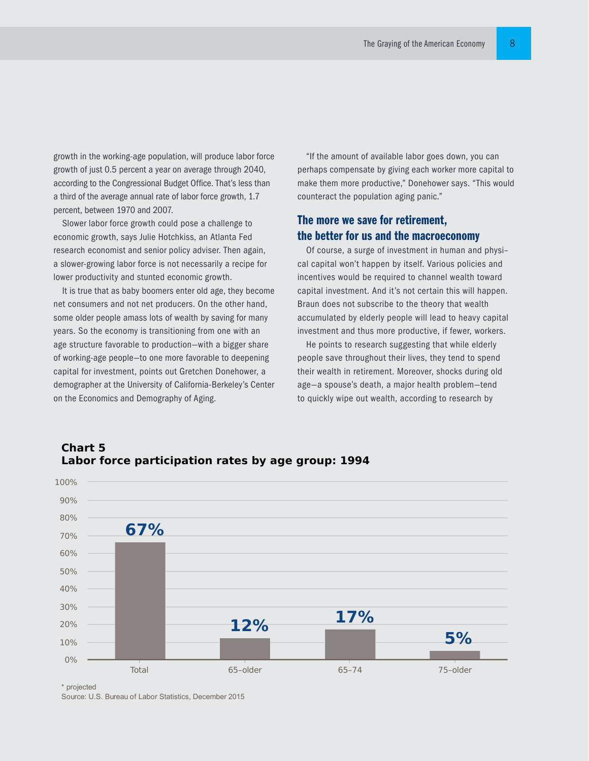growth in the working-age population, will produce labor force growth of just 0.5 percent a year on average through 2040, according to the Congressional Budget Office. That's less than a third of the average annual rate of labor force growth, 1.7 percent, between 1970 and 2007.

Slower labor force growth could pose a challenge to economic growth, says Julie Hotchkiss, an Atlanta Fed research economist and senior policy adviser. Then again, a slower-growing labor force is not necessarily a recipe for lower productivity and stunted economic growth.

It is true that as baby boomers enter old age, they become net consumers and not net producers. On the other hand, some older people amass lots of wealth by saving for many years. So the economy is transitioning from one with an age structure favorable to production—with a bigger share of working-age people—to one more favorable to deepening capital for investment, points out Gretchen Donehower, a demographer at the University of California-Berkeley's Center on the Economics and Demography of Aging.

"If the amount of available labor goes down, you can perhaps compensate by giving each worker more capital to make them more productive," Donehower says. "This would counteract the population aging panic."

#### The more we save for retirement, the better for us and the macroeconomy

Of course, a surge of investment in human and physi– cal capital won't happen by itself. Various policies and incentives would be required to channel wealth toward capital investment. And it's not certain this will happen. Braun does not subscribe to the theory that wealth accumulated by elderly people will lead to heavy capital investment and thus more productive, if fewer, workers.

He points to research suggesting that while elderly people save throughout their lives, they tend to spend their wealth in retirement. Moreover, shocks during old age—a spouse's death, a major health problem—tend to quickly wipe out wealth, according to research by



#### **Chart 5 Labor force participation rates by age group: 1994**

\* projected

Source: U.S. Bureau of Labor Statistics, December 2015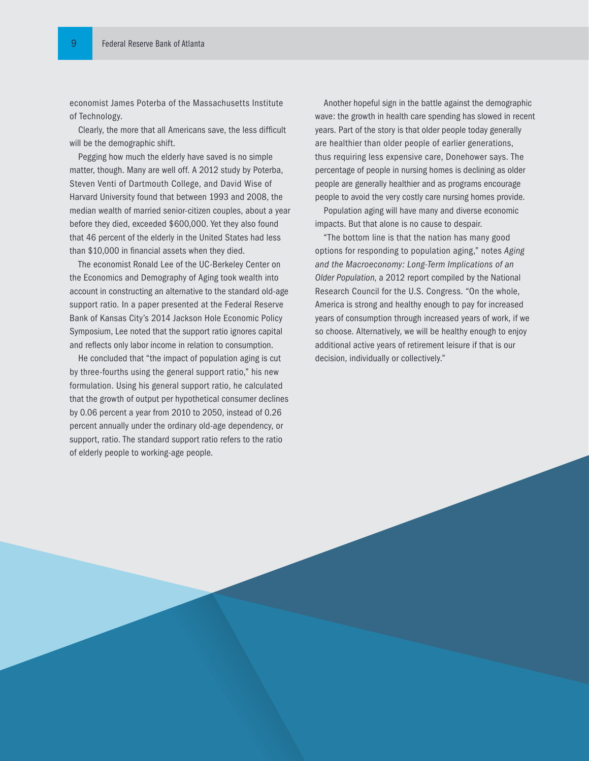economist James Poterba of the Massachusetts Institute of Technology.

Clearly, the more that all Americans save, the less difficult will be the demographic shift.

Pegging how much the elderly have saved is no simple matter, though. Many are well off. A 2012 study by Poterba, Steven Venti of Dartmouth College, and David Wise of Harvard University found that between 1993 and 2008, the median wealth of married senior-citizen couples, about a year before they died, exceeded \$600,000. Yet they also found that 46 percent of the elderly in the United States had less than \$10,000 in financial assets when they died.

The economist Ronald Lee of the UC-Berkeley Center on the Economics and Demography of Aging took wealth into account in constructing an alternative to the standard old-age support ratio. In a paper presented at the Federal Reserve Bank of Kansas City's 2014 Jackson Hole Economic Policy Symposium, Lee noted that the support ratio ignores capital and reflects only labor income in relation to consumption.

He concluded that "the impact of population aging is cut by three-fourths using the general support ratio," his new formulation. Using his general support ratio, he calculated that the growth of output per hypothetical consumer declines by 0.06 percent a year from 2010 to 2050, instead of 0.26 percent annually under the ordinary old-age dependency, or support, ratio. The standard support ratio refers to the ratio of elderly people to working-age people.

Another hopeful sign in the battle against the demographic wave: the growth in health care spending has slowed in recent years. Part of the story is that older people today generally are healthier than older people of earlier generations, thus requiring less expensive care, Donehower says. The percentage of people in nursing homes is declining as older people are generally healthier and as programs encourage people to avoid the very costly care nursing homes provide.

Population aging will have many and diverse economic impacts. But that alone is no cause to despair.

"The bottom line is that the nation has many good options for responding to population aging," notes *Aging and the Macroeconomy: Long-Term Implications of an Older Population*, a 2012 report compiled by the National Research Council for the U.S. Congress. "On the whole, America is strong and healthy enough to pay for increased years of consumption through increased years of work, if we so choose. Alternatively, we will be healthy enough to enjoy additional active years of retirement leisure if that is our decision, individually or collectively."